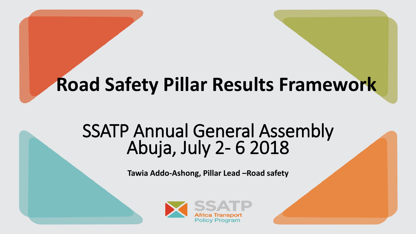# **Road Safety Pillar Results Framework**

## SSATP Annual General Assembly Abuja, July 2- 6 2018

**Tawia Addo-Ashong, Pillar Lead –Road safety**

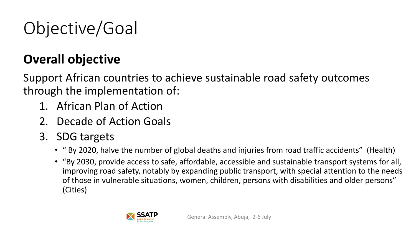# Objective/Goal

### **Overall objective**

Support African countries to achieve sustainable road safety outcomes through the implementation of:

- 1. African Plan of Action
- 2. Decade of Action Goals
- 3. SDG targets
	- " By 2020, halve the number of global deaths and injuries from road traffic accidents" (Health)
	- "By 2030, provide access to safe, affordable, accessible and sustainable transport systems for all, improving road safety, notably by expanding public transport, with special attention to the needs of those in vulnerable situations, women, children, persons with disabilities and older persons" (Cities)

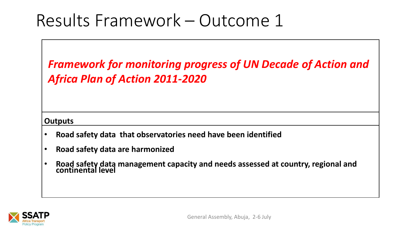*Framework for monitoring progress of UN Decade of Action and Africa Plan of Action 2011-2020*

#### **Outputs**

- **Road safety data that observatories need have been identified**
- **Road safety data are harmonized**
- **Road safety data management capacity and needs assessed at country, regional and continental level**

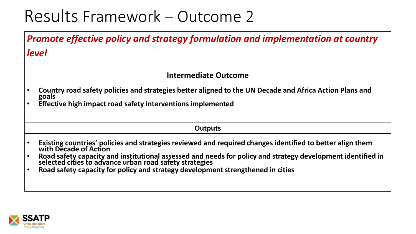*Promote effective policy and strategy formulation and implementation at country level*

#### **Intermediate Outcome**

- **Country road safety policies and strategies better aligned to the UN Decade and Africa Action Plans and goals**
- **Effective high impact road safety interventions implemented**

#### **Outputs**

- **Existing countries' policies and strategies reviewed and required changes identified to better align them with Decade of Action**
- **Road safety capacity and institutional assessed and needs for policy and strategy development identified in selected cities to advance urban road safety strategies**
- **Road safety capacity for policy and strategy development strengthened in cities**

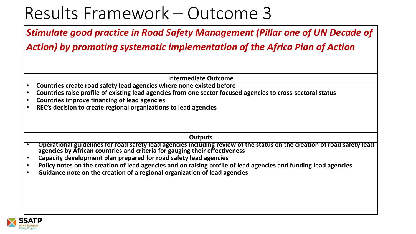*Stimulate good practice in Road Safety Management (Pillar one of UN Decade of* 

*Action) by promoting systematic implementation of the Africa Plan of Action*

**Intermediate Outcome**

- **Countries create road safety lead agencies where none existed before**
- **Countries raise profile of existing lead agencies from one sector focused agencies to cross-sectoral status**
- **Countries improve financing of lead agencies**
- **REC's decision to create regional organizations to lead agencies**

**Outputs**

- **Operational guidelines for road safety lead agencies including review of the status on the creation of road safety lead agencies by African countries and criteria for gauging their effectiveness**
- **Capacity development plan prepared for road safety lead agencies**
- **Policy notes on the creation of lead agencies and on raising profile of lead agencies and funding lead agencies**
- **Guidance note on the creation of a regional organization of lead agencies**

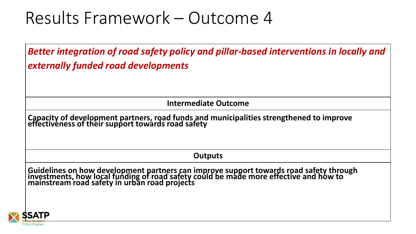*Better integration of road safety policy and pillar-based interventions in locally and externally funded road developments*

**Intermediate Outcome**

**Capacity of development partners, road funds and municipalities strengthened to improve effectiveness of their support towards road safety**

**Outputs**

**Guidelines on how development partners can improve support towards road safety through investments, how local funding of road safety could be made more effective and how to mainstream road safety in urban road projects**